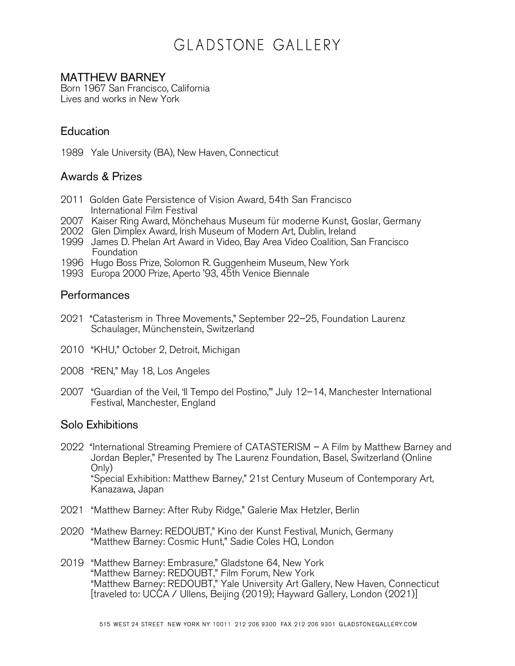# GLADSTONE GALLERY

### MATTHEW BARNEY

Born 1967 San Francisco, California Lives and works in New York

## **Education**

1989 Yale University (BA), New Haven, Connecticut

#### Awards & Prizes

- 2011 Golden Gate Persistence of Vision Award, 54th San Francisco International Film Festival
- 2007 Kaiser Ring Award, Mönchehaus Museum für moderne Kunst, Goslar, Germany
- 2002 Glen Dimplex Award, Irish Museum of Modern Art, Dublin, Ireland
- 1999 James D. Phelan Art Award in Video, Bay Area Video Coalition, San Francisco **Foundation**
- 1996 Hugo Boss Prize, Solomon R. Guggenheim Museum, New York
- 1993 Europa 2000 Prize, Aperto '93, 45th Venice Biennale

#### Performances

- 2021 "Catasterism in Three Movements," September 22–25, Foundation Laurenz Schaulager, Münchenstein, Switzerland
- 2010 "KHU," October 2, Detroit, Michigan
- 2008 "REN," May 18, Los Angeles
- 2007 "Guardian of the Veil, 'Il Tempo del Postino,'" July 12–14, Manchester International Festival, Manchester, England

#### Solo Exhibitions

- 2022 "International Streaming Premiere of CATASTERISM A Film by Matthew Barney and Jordan Bepler," Presented by The Laurenz Foundation, Basel, Switzerland (Online Only) "Special Exhibition: Matthew Barney," 21st Century Museum of Contemporary Art, Kanazawa, Japan
- 2021 "Matthew Barney: After Ruby Ridge," Galerie Max Hetzler, Berlin
- 2020 "Mathew Barney: REDOUBT," Kino der Kunst Festival, Munich, Germany "Matthew Barney: Cosmic Hunt," Sadie Coles HQ, London
- 2019 "Matthew Barney: Embrasure," Gladstone 64, New York "Matthew Barney: REDOUBT," Film Forum, New York "Matthew Barney: REDOUBT," Yale University Art Gallery, New Haven, Connecticut [traveled to: UCCA / Ullens, Beijing (2019); Hayward Gallery, London (2021)]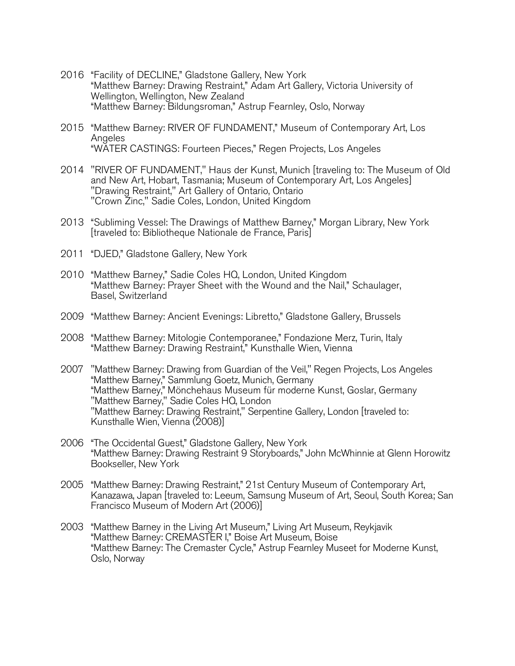- 2016 "Facility of DECLINE," Gladstone Gallery, New York "Matthew Barney: Drawing Restraint," Adam Art Gallery, Victoria University of Wellington, Wellington, New Zealand "Matthew Barney: Bildungsroman," Astrup Fearnley, Oslo, Norway
- 2015 "Matthew Barney: RIVER OF FUNDAMENT," Museum of Contemporary Art, Los Angeles "WATER CASTINGS: Fourteen Pieces," Regen Projects, Los Angeles
- 2014 "RIVER OF FUNDAMENT," Haus der Kunst, Munich [traveling to: The Museum of Old and New Art, Hobart, Tasmania; Museum of Contemporary Art, Los Angeles] "Drawing Restraint," Art Gallery of Ontario, Ontario "Crown Zinc," Sadie Coles, London, United Kingdom
- 2013 "Subliming Vessel: The Drawings of Matthew Barney," Morgan Library, New York [traveled to: Bibliotheque Nationale de France, Paris]
- 2011 "DJED," Gladstone Gallery, New York
- 2010 "Matthew Barney," Sadie Coles HQ, London, United Kingdom "Matthew Barney: Prayer Sheet with the Wound and the Nail," Schaulager, Basel, Switzerland
- 2009 "Matthew Barney: Ancient Evenings: Libretto," Gladstone Gallery, Brussels
- 2008 "Matthew Barney: Mitologie Contemporanee," Fondazione Merz, Turin, Italy "Matthew Barney: Drawing Restraint," Kunsthalle Wien, Vienna
- 2007 "Matthew Barney: Drawing from Guardian of the Veil," Regen Projects, Los Angeles "Matthew Barney," Sammlung Goetz, Munich, Germany "Matthew Barney," Mönchehaus Museum für moderne Kunst, Goslar, Germany "Matthew Barney," Sadie Coles HQ, London "Matthew Barney: Drawing Restraint," Serpentine Gallery, London [traveled to: Kunsthalle Wien, Vienna (2008)]
- 2006 "The Occidental Guest," Gladstone Gallery, New York "Matthew Barney: Drawing Restraint 9 Storyboards," John McWhinnie at Glenn Horowitz Bookseller, New York
- 2005 "Matthew Barney: Drawing Restraint," 21st Century Museum of Contemporary Art, Kanazawa, Japan [traveled to: Leeum, Samsung Museum of Art, Seoul, South Korea; San Francisco Museum of Modern Art (2006)]
- 2003 "Matthew Barney in the Living Art Museum," Living Art Museum, Reykjavik "Matthew Barney: CREMASTER I," Boise Art Museum, Boise "Matthew Barney: The Cremaster Cycle," Astrup Fearnley Museet for Moderne Kunst, Oslo, Norway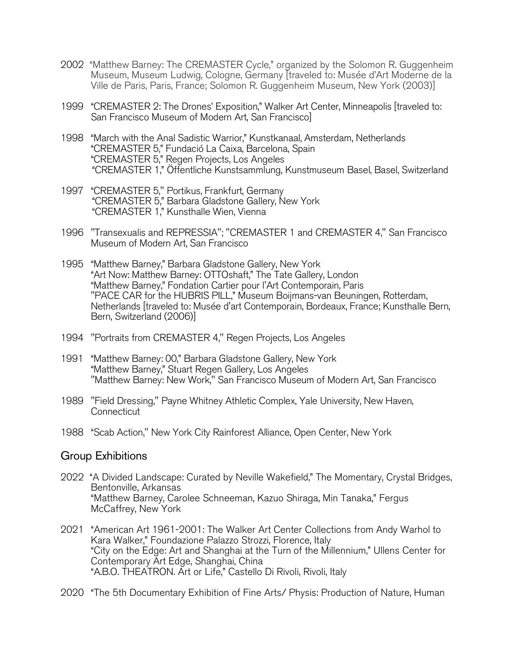- 2002 "Matthew Barney: The CREMASTER Cycle," organized by the Solomon R. Guggenheim Museum, Museum Ludwig, Cologne, Germany [traveled to: Musée d'Art Moderne de la Ville de Paris, Paris, France; Solomon R. Guggenheim Museum, New York (2003)]
- 1999 "CREMASTER 2: The Drones' Exposition," Walker Art Center, Minneapolis [traveled to: San Francisco Museum of Modern Art, San Francisco]
- 1998 "March with the Anal Sadistic Warrior," Kunstkanaal, Amsterdam, Netherlands "CREMASTER 5," Fundació La Caixa, Barcelona, Spain "CREMASTER 5," Regen Projects, Los Angeles "CREMASTER 1," Öffentliche Kunstsammlung, Kunstmuseum Basel, Basel, Switzerland
- 1997 "CREMASTER 5," Portikus, Frankfurt, Germany "CREMASTER 5," Barbara Gladstone Gallery, New York "CREMASTER 1," Kunsthalle Wien, Vienna
- 1996 "Transexualis and REPRESSIA"; "CREMASTER 1 and CREMASTER 4," San Francisco Museum of Modern Art, San Francisco
- 1995 "Matthew Barney," Barbara Gladstone Gallery, New York "Art Now: Matthew Barney: OTTOshaft," The Tate Gallery, London "Matthew Barney," Fondation Cartier pour l'Art Contemporain, Paris "PACE CAR for the HUBRIS PILL," Museum Boijmans-van Beuningen, Rotterdam, Netherlands [traveled to: Musée d'art Contemporain, Bordeaux, France; Kunsthalle Bern, Bern, Switzerland (2006)]
- 1994 "Portraits from CREMASTER 4," Regen Projects, Los Angeles
- 1991 "Matthew Barney: 00," Barbara Gladstone Gallery, New York "Matthew Barney," Stuart Regen Gallery, Los Angeles "Matthew Barney: New Work," San Francisco Museum of Modern Art, San Francisco
- 1989 "Field Dressing," Payne Whitney Athletic Complex, Yale University, New Haven, **Connecticut**
- 1988 "Scab Action," New York City Rainforest Alliance, Open Center, New York

#### Group Exhibitions

- 2022 "A Divided Landscape: Curated by Neville Wakefield," The Momentary, Crystal Bridges, Bentonville, Arkansas "Matthew Barney, Carolee Schneeman, Kazuo Shiraga, Min Tanaka," Fergus McCaffrey, New York
- 2021 "American Art 1961-2001: The Walker Art Center Collections from Andy Warhol to Kara Walker," Foundazione Palazzo Strozzi, Florence, Italy "City on the Edge: Art and Shanghai at the Turn of the Millennium," Ullens Center for Contemporary Art Edge, Shanghai, China "A.B.O. THEATRON. Art or Life," Castello Di Rivoli, Rivoli, Italy
- 2020 "The 5th Documentary Exhibition of Fine Arts/ Physis: Production of Nature, Human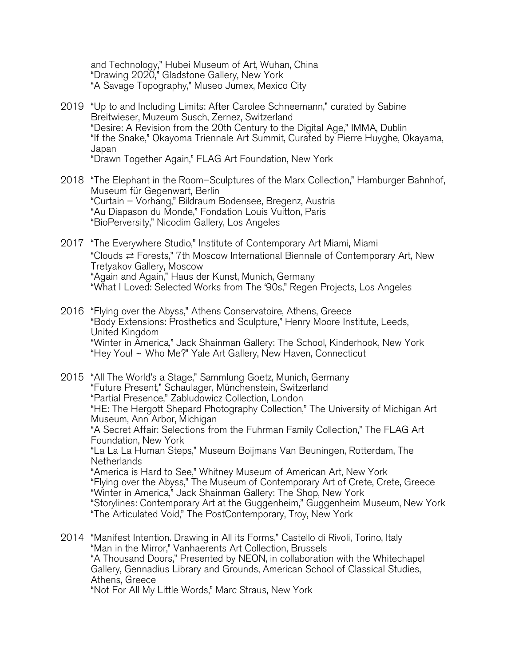and Technology," Hubei Museum of Art, Wuhan, China "Drawing 2020," Gladstone Gallery, New York "A Savage Topography," Museo Jumex, Mexico City

- 2019 "Up to and Including Limits: After Carolee Schneemann," curated by Sabine Breitwieser, Muzeum Susch, Zernez, Switzerland "Desire: A Revision from the 20th Century to the Digital Age," IMMA, Dublin "If the Snake," Okayoma Triennale Art Summit, Curated by Pierre Huyghe, Okayama, Japan "Drawn Together Again," FLAG Art Foundation, New York
- 2018 "The Elephant in the Room–Sculptures of the Marx Collection," Hamburger Bahnhof, Museum für Gegenwart, Berlin "Curtain – Vorhang," Bildraum Bodensee, Bregenz, Austria "Au Diapason du Monde," Fondation Louis Vuitton, Paris "BioPerversity," Nicodim Gallery, Los Angeles
- 2017 "The Everywhere Studio," Institute of Contemporary Art Miami, Miami "Clouds ⇄ Forests," 7th Moscow International Biennale of Contemporary Art, New Tretyakov Gallery, Moscow "Again and Again," Haus der Kunst, Munich, Germany "What I Loved: Selected Works from The '90s," Regen Projects, Los Angeles
- 2016 "Flying over the Abyss," Athens Conservatoire, Athens, Greece "Body Extensions: Prosthetics and Sculpture," Henry Moore Institute, Leeds, United Kingdom "Winter in America," Jack Shainman Gallery: The School, Kinderhook, New York "Hey You! ~ Who Me?" Yale Art Gallery, New Haven, Connecticut

2015 "All The World's a Stage," Sammlung Goetz, Munich, Germany "Future Present," Schaulager, Münchenstein, Switzerland "Partial Presence," Zabludowicz Collection, London "HE: The Hergott Shepard Photography Collection," The University of Michigan Art Museum, Ann Arbor, Michigan "A Secret Affair: Selections from the Fuhrman Family Collection," The FLAG Art Foundation, New York "La La La Human Steps," Museum Boijmans Van Beuningen, Rotterdam, The Netherlands "America is Hard to See," Whitney Museum of American Art, New York "Flying over the Abyss," The Museum of Contemporary Art of Crete, Crete, Greece "Winter in America," Jack Shainman Gallery: The Shop, New York "Storylines: Contemporary Art at the Guggenheim," Guggenheim Museum, New York "The Articulated Void," The PostContemporary, Troy, New York

2014 "Manifest Intention. Drawing in All its Forms," Castello di Rivoli, Torino, Italy "Man in the Mirror," Vanhaerents Art Collection, Brussels "A Thousand Doors," Presented by NEON, in collaboration with the Whitechapel Gallery, Gennadius Library and Grounds, American School of Classical Studies, Athens, Greece "Not For All My Little Words," Marc Straus, New York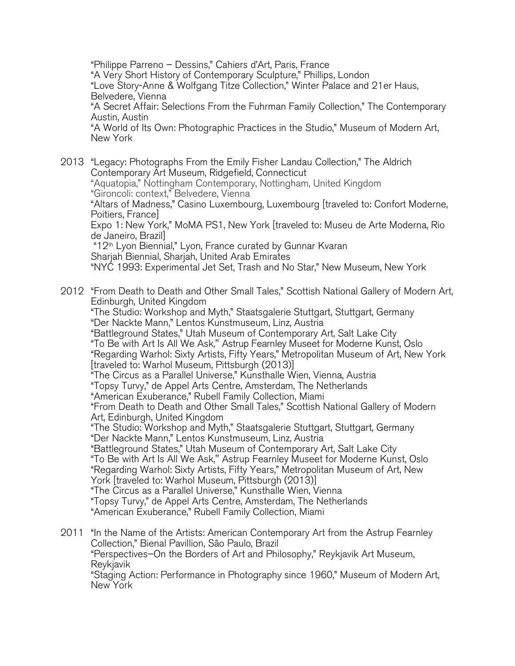"Philippe Parreno – Dessins," Cahiers d'Art, Paris, France "A Very Short History of Contemporary Sculpture," Phillips, London "Love Story-Anne & Wolfgang Titze Collection," Winter Palace and 21er Haus, Belvedere, Vienna "A Secret Affair: Selections From the Fuhrman Family Collection," The Contemporary Austin, Austin "A World of Its Own: Photographic Practices in the Studio," Museum of Modern Art, New York

2013 "Legacy: Photographs From the Emily Fisher Landau Collection," The Aldrich Contemporary Art Museum, Ridgefield, Connecticut "Aquatopia," Nottingham Contemporary, Nottingham, United Kingdom "Gironcoli: context," Belvedere, Vienna "Altars of Madness," Casino Luxembourg, Luxembourg [traveled to: Confort Moderne, Poitiers, France] Expo 1: New York," MoMA PS1, New York [traveled to: Museu de Arte Moderna, Rio de Janeiro, Brazil] "12th Lyon Biennial," Lyon, France curated by Gunnar Kvaran Sharjah Biennial, Sharjah, United Arab Emirates "NYC 1993: Experimental Jet Set, Trash and No Star," New Museum, New York

2012 "From Death to Death and Other Small Tales," Scottish National Gallery of Modern Art, Edinburgh, United Kingdom "The Studio: Workshop and Myth," Staatsgalerie Stuttgart, Stuttgart, Germany "Der Nackte Mann," Lentos Kunstmuseum, Linz, Austria "Battleground States," Utah Museum of Contemporary Art, Salt Lake City "To Be with Art Is All We Ask," Astrup Fearnley Museet for Moderne Kunst, Oslo "Regarding Warhol: Sixty Artists, Fifty Years," Metropolitan Museum of Art, New York [traveled to: Warhol Museum, Pittsburgh (2013)] "The Circus as a Parallel Universe," Kunsthalle Wien, Vienna, Austria "Topsy Turvy," de Appel Arts Centre, Amsterdam, The Netherlands "American Exuberance," Rubell Family Collection, Miami "From Death to Death and Other Small Tales," Scottish National Gallery of Modern Art, Edinburgh, United Kingdom "The Studio: Workshop and Myth," Staatsgalerie Stuttgart, Stuttgart, Germany "Der Nackte Mann," Lentos Kunstmuseum, Linz, Austria "Battleground States," Utah Museum of Contemporary Art, Salt Lake City "To Be with Art Is All We Ask," Astrup Fearnley Museet for Moderne Kunst, Oslo "Regarding Warhol: Sixty Artists, Fifty Years," Metropolitan Museum of Art, New York [traveled to: Warhol Museum, Pittsburgh (2013)] "The Circus as a Parallel Universe," Kunsthalle Wien, Vienna "Topsy Turvy," de Appel Arts Centre, Amsterdam, The Netherlands "American Exuberance," Rubell Family Collection, Miami

2011 "In the Name of the Artists: American Contemporary Art from the Astrup Fearnley Collection," Bienal Pavillion, São Paulo, Brazil "Perspectives–On the Borders of Art and Philosophy," Reykjavik Art Museum, Reykjavik "Staging Action: Performance in Photography since 1960," Museum of Modern Art, New York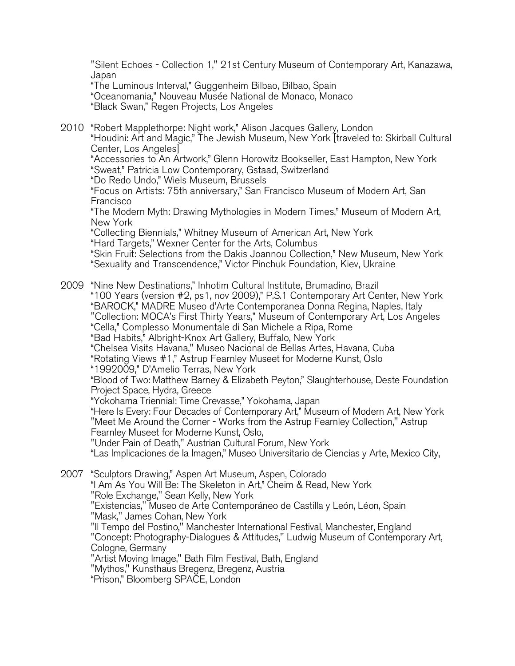"Silent Echoes - Collection 1," 21st Century Museum of Contemporary Art, Kanazawa, Japan

"The Luminous Interval," Guggenheim Bilbao, Bilbao, Spain "Oceanomania," Nouveau Musée National de Monaco, Monaco "Black Swan," Regen Projects, Los Angeles

2010 "Robert Mapplethorpe: Night work," Alison Jacques Gallery, London "Houdini: Art and Magic," The Jewish Museum, New York [traveled to: Skirball Cultural Center, Los Angeles] "Accessories to An Artwork," Glenn Horowitz Bookseller, East Hampton, New York "Sweat," Patricia Low Contemporary, Gstaad, Switzerland "Do Redo Undo," Wiels Museum, Brussels "Focus on Artists: 75th anniversary," San Francisco Museum of Modern Art, San Francisco "The Modern Myth: Drawing Mythologies in Modern Times," Museum of Modern Art, New York "Collecting Biennials," Whitney Museum of American Art, New York "Hard Targets," Wexner Center for the Arts, Columbus "Skin Fruit: Selections from the Dakis Joannou Collection," New Museum, New York "Sexuality and Transcendence," Victor Pinchuk Foundation, Kiev, Ukraine

2009 "Nine New Destinations," Inhotim Cultural Institute, Brumadino, Brazil "100 Years (version #2, ps1, nov 2009)," P.S.1 Contemporary Art Center, New York "BAROCK," MADRE Museo d'Arte Contemporanea Donna Regina, Naples, Italy "Collection: MOCA's First Thirty Years," Museum of Contemporary Art, Los Angeles "Cella," Complesso Monumentale di San Michele a Ripa, Rome "Bad Habits," Albright-Knox Art Gallery, Buffalo, New York "Chelsea Visits Havana," Museo Nacional de Bellas Artes, Havana, Cuba "Rotating Views #1," Astrup Fearnley Museet for Moderne Kunst, Oslo "1992009," D'Amelio Terras, New York "Blood of Two: Matthew Barney & Elizabeth Peyton," Slaughterhouse, Deste Foundation Project Space, Hydra, Greece "Yokohama Triennial: Time Crevasse," Yokohama, Japan "Here Is Every: Four Decades of Contemporary Art," Museum of Modern Art, New York "Meet Me Around the Corner - Works from the Astrup Fearnley Collection," Astrup Fearnley Museet for Moderne Kunst, Oslo, "Under Pain of Death," Austrian Cultural Forum, New York "Las Implicaciones de la Imagen," Museo Universitario de Ciencias y Arte, Mexico City, 2007 "Sculptors Drawing," Aspen Art Museum, Aspen, Colorado "I Am As You Will Be: The Skeleton in Art," Cheim & Read, New York "Role Exchange," Sean Kelly, New York "Existencias," Museo de Arte Contemporáneo de Castilla y León, Léon, Spain "Mask," James Cohan, New York "Il Tempo del Postino," Manchester International Festival, Manchester, England "Concept: Photography-Dialogues & Attitudes," Ludwig Museum of Contemporary Art, Cologne, Germany "Artist Moving Image," Bath Film Festival, Bath, England "Mythos," Kunsthaus Bregenz, Bregenz, Austria

"Prison," Bloomberg SPACE, London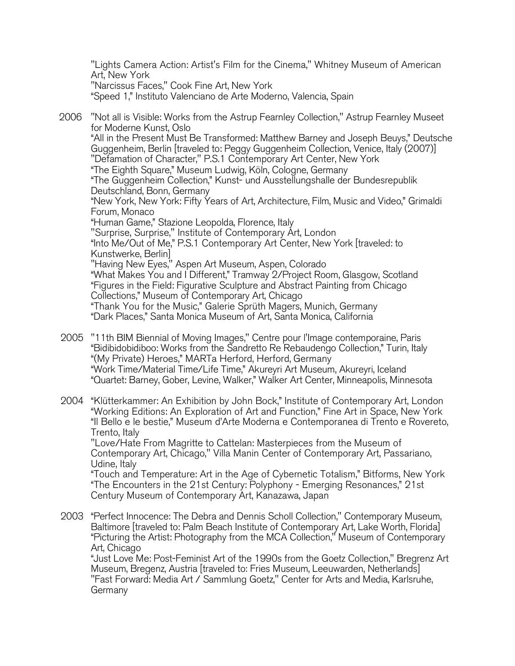"Lights Camera Action: Artist's Film for the Cinema," Whitney Museum of American Art, New York "Narcissus Faces," Cook Fine Art, New York "Speed 1," Instituto Valenciano de Arte Moderno, Valencia, Spain

 2006 "Not all is Visible: Works from the Astrup Fearnley Collection," Astrup Fearnley Museet for Moderne Kunst, Oslo "All in the Present Must Be Transformed: Matthew Barney and Joseph Beuys," Deutsche Guggenheim, Berlin [traveled to: Peggy Guggenheim Collection, Venice, Italy (2007)] "Defamation of Character," P.S.1 Contemporary Art Center, New York "The Eighth Square," Museum Ludwig, Köln, Cologne, Germany "The Guggenheim Collection," Kunst- und Ausstellungshalle der Bundesrepublik Deutschland, Bonn, Germany "New York, New York: Fifty Years of Art, Architecture, Film, Music and Video," Grimaldi Forum, Monaco "Human Game," Stazione Leopolda, Florence, Italy "Surprise, Surprise," Institute of Contemporary Art, London "Into Me/Out of Me," P.S.1 Contemporary Art Center, New York [traveled: to Kunstwerke, Berlin] "Having New Eyes," Aspen Art Museum, Aspen, Colorado "What Makes You and I Different," Tramway 2/Project Room, Glasgow, Scotland "Figures in the Field: Figurative Sculpture and Abstract Painting from Chicago Collections," Museum of Contemporary Art, Chicago "Thank You for the Music," Galerie Sprüth Magers, Munich, Germany "Dark Places," Santa Monica Museum of Art, Santa Monica, California

2005 "11th BIM Biennial of Moving Images," Centre pour l'Image contemporaine, Paris "Bidibidobidiboo: Works from the Sandretto Re Rebaudengo Collection," Turin, Italy "(My Private) Heroes," MARTa Herford, Herford, Germany "Work Time/Material Time/Life Time," Akureyri Art Museum, Akureyri, Iceland "Quartet: Barney, Gober, Levine, Walker," Walker Art Center, Minneapolis, Minnesota

2004 "Klütterkammer: An Exhibition by John Bock," Institute of Contemporary Art, London "Working Editions: An Exploration of Art and Function," Fine Art in Space, New York "Il Bello e le bestie," Museum d'Arte Moderna e Contemporanea di Trento e Rovereto, Trento, Italy

"Love/Hate From Magritte to Cattelan: Masterpieces from the Museum of Contemporary Art, Chicago," Villa Manin Center of Contemporary Art, Passariano, Udine, Italy

"Touch and Temperature: Art in the Age of Cybernetic Totalism," Bitforms, New York "The Encounters in the 21st Century: Polyphony - Emerging Resonances," 21st Century Museum of Contemporary Art, Kanazawa, Japan

2003 "Perfect Innocence: The Debra and Dennis Scholl Collection," Contemporary Museum, Baltimore [traveled to: Palm Beach Institute of Contemporary Art, Lake Worth, Florida] "Picturing the Artist: Photography from the MCA Collection," Museum of Contemporary Art, Chicago

"Just Love Me: Post-Feminist Art of the 1990s from the Goetz Collection," Bregrenz Art Museum, Bregenz, Austria [traveled to: Fries Museum, Leeuwarden, Netherlands] "Fast Forward: Media Art / Sammlung Goetz," Center for Arts and Media, Karlsruhe, Germany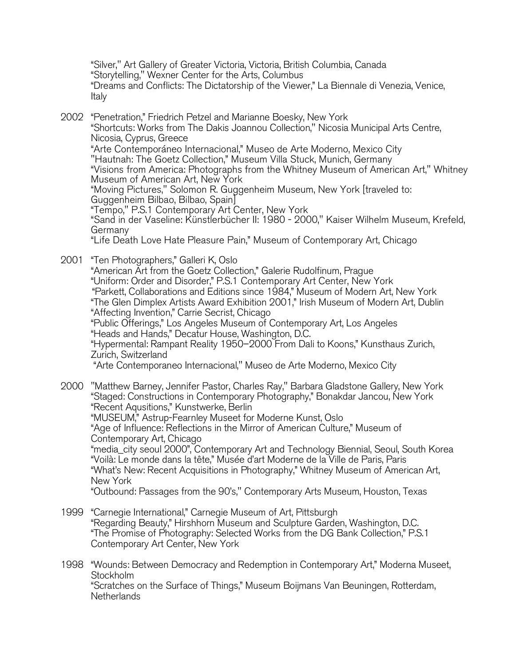"Silver," Art Gallery of Greater Victoria, Victoria, British Columbia, Canada "Storytelling," Wexner Center for the Arts, Columbus "Dreams and Conflicts: The Dictatorship of the Viewer," La Biennale di Venezia, Venice, Italy

2002 "Penetration," Friedrich Petzel and Marianne Boesky, New York "Shortcuts: Works from The Dakis Joannou Collection," Nicosia Municipal Arts Centre, Nicosia, Cyprus, Greece "Arte Contemporáneo Internacional," Museo de Arte Moderno, Mexico City "Hautnah: The Goetz Collection," Museum Villa Stuck, Munich, Germany "Visions from America: Photographs from the Whitney Museum of American Art," Whitney Museum of American Art, New York "Moving Pictures," Solomon R. Guggenheim Museum, New York [traveled to: Guggenheim Bilbao, Bilbao, Spain] "Tempo," P.S.1 Contemporary Art Center, New York "Sand in der Vaseline: Künstlerbücher II: 1980 - 2000," Kaiser Wilhelm Museum, Krefeld, Germany "Life Death Love Hate Pleasure Pain," Museum of Contemporary Art, Chicago

2001 "Ten Photographers," Galleri K, Oslo "American Art from the Goetz Collection," Galerie Rudolfinum, Prague "Uniform: Order and Disorder," P.S.1 Contemporary Art Center, New York "Parkett, Collaborations and Editions since 1984," Museum of Modern Art, New York "The Glen Dimplex Artists Award Exhibition 2001," Irish Museum of Modern Art, Dublin "Affecting Invention," Carrie Secrist, Chicago "Public Offerings," Los Angeles Museum of Contemporary Art, Los Angeles "Heads and Hands," Decatur House, Washington, D.C. "Hypermental: Rampant Reality 1950–2000 From Dali to Koons," Kunsthaus Zurich, Zurich, Switzerland "Arte Contemporaneo Internacional," Museo de Arte Moderno, Mexico City

2000 "Matthew Barney, Jennifer Pastor, Charles Ray," Barbara Gladstone Gallery, New York "Staged: Constructions in Contemporary Photography," Bonakdar Jancou, New York "Recent Aqusitions," Kunstwerke, Berlin "MUSEUM," Astrup-Fearnley Museet for Moderne Kunst, Oslo "Age of Influence: Reflections in the Mirror of American Culture," Museum of Contemporary Art, Chicago "media\_city seoul 2000", Contemporary Art and Technology Biennial, Seoul, South Korea "Voilà: Le monde dans la tête," Musée d'art Moderne de la Ville de Paris, Paris "What's New: Recent Acquisitions in Photography," Whitney Museum of American Art, New York "Outbound: Passages from the 90's," Contemporary Arts Museum, Houston, Texas

- 1999 "Carnegie International," Carnegie Museum of Art, Pittsburgh "Regarding Beauty," Hirshhorn Museum and Sculpture Garden, Washington, D.C. "The Promise of Photography: Selected Works from the DG Bank Collection," P.S.1 Contemporary Art Center, New York
- 1998 "Wounds: Between Democracy and Redemption in Contemporary Art," Moderna Museet, Stockholm "Scratches on the Surface of Things," Museum Boijmans Van Beuningen, Rotterdam, **Netherlands**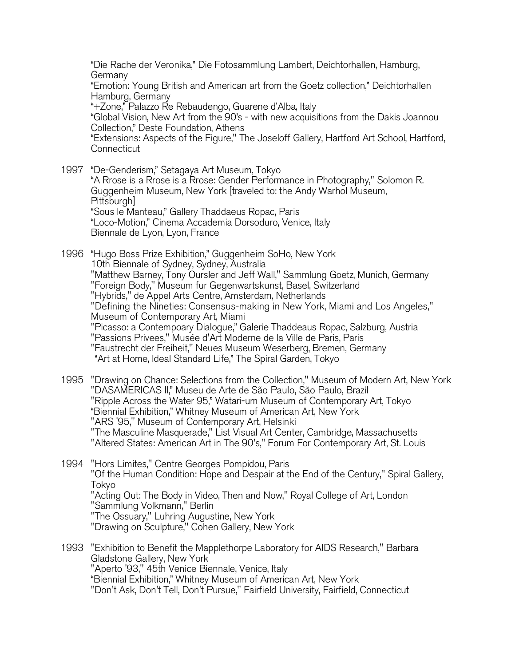"Die Rache der Veronika," Die Fotosammlung Lambert, Deichtorhallen, Hamburg, Germany

"Emotion: Young British and American art from the Goetz collection," Deichtorhallen Hamburg, Germany

"+Zone," Palazzo Re Rebaudengo, Guarene d'Alba, Italy

"Global Vision, New Art from the 90's - with new acquisitions from the Dakis Joannou Collection," Deste Foundation, Athens

"Extensions: Aspects of the Figure," The Joseloff Gallery, Hartford Art School, Hartford, **Connecticut** 

1997 "De-Genderism," Setagaya Art Museum, Tokyo "A Rrose is a Rrose is a Rrose: Gender Performance in Photography," Solomon R. Guggenheim Museum, New York [traveled to: the Andy Warhol Museum, Pittsburgh] "Sous le Manteau," Gallery Thaddaeus Ropac, Paris "Loco-Motion," Cinema Accademia Dorsoduro, Venice, Italy Biennale de Lyon, Lyon, France

1996 "Hugo Boss Prize Exhibition," Guggenheim SoHo, New York 10th Biennale of Sydney, Sydney, Australia "Matthew Barney, Tony Oursler and Jeff Wall," Sammlung Goetz, Munich, Germany "Foreign Body," Museum fur Gegenwartskunst, Basel, Switzerland "Hybrids," de Appel Arts Centre, Amsterdam, Netherlands "Defining the Nineties: Consensus-making in New York, Miami and Los Angeles," Museum of Contemporary Art, Miami "Picasso: a Contempoary Dialogue," Galerie Thaddeaus Ropac, Salzburg, Austria "Passions Privees," Musée d'Art Moderne de la Ville de Paris, Paris "Faustrecht der Freiheit," Neues Museum Weserberg, Bremen, Germany "Art at Home, Ideal Standard Life," The Spiral Garden, Tokyo

- 1995 "Drawing on Chance: Selections from the Collection," Museum of Modern Art, New York "DASAMERICAS II," Museu de Arte de São Paulo, São Paulo, Brazil "Ripple Across the Water 95," Watari-um Museum of Contemporary Art, Tokyo "Biennial Exhibition," Whitney Museum of American Art, New York "ARS '95," Museum of Contemporary Art, Helsinki "The Masculine Masquerade," List Visual Art Center, Cambridge, Massachusetts "Altered States: American Art in The 90's," Forum For Contemporary Art, St. Louis
- 1994 "Hors Limites," Centre Georges Pompidou, Paris "Of the Human Condition: Hope and Despair at the End of the Century," Spiral Gallery, Tokyo "Acting Out: The Body in Video, Then and Now," Royal College of Art, London "Sammlung Volkmann," Berlin "The Ossuary," Luhring Augustine, New York "Drawing on Sculpture," Cohen Gallery, New York
- 1993 "Exhibition to Benefit the Mapplethorpe Laboratory for AIDS Research," Barbara Gladstone Gallery, New York "Aperto '93," 45th Venice Biennale, Venice, Italy "Biennial Exhibition," Whitney Museum of American Art, New York "Don't Ask, Don't Tell, Don't Pursue," Fairfield University, Fairfield, Connecticut